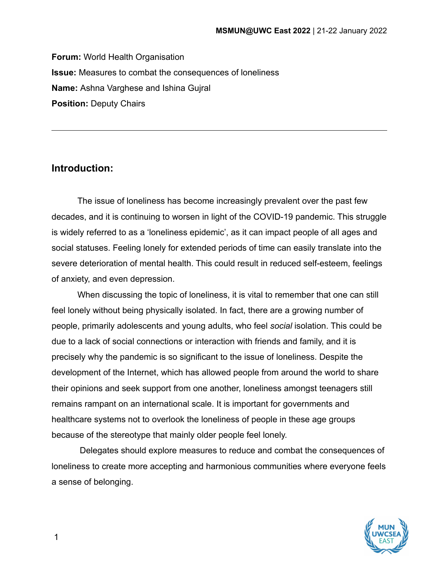**Forum:** World Health Organisation **Issue:** Measures to combat the consequences of loneliness **Name:** Ashna Varghese and Ishina Gujral **Position:** Deputy Chairs

## **Introduction:**

The issue of loneliness has become increasingly prevalent over the past few decades, and it is continuing to worsen in light of the COVID-19 pandemic. This struggle is widely referred to as a 'loneliness epidemic', as it can impact people of all ages and social statuses. Feeling lonely for extended periods of time can easily translate into the severe deterioration of mental health. This could result in reduced self-esteem, feelings of anxiety, and even depression.

When discussing the topic of loneliness, it is vital to remember that one can still feel lonely without being physically isolated. In fact, there are a growing number of people, primarily adolescents and young adults, who feel *social* isolation. This could be due to a lack of social connections or interaction with friends and family, and it is precisely why the pandemic is so significant to the issue of loneliness. Despite the development of the Internet, which has allowed people from around the world to share their opinions and seek support from one another, loneliness amongst teenagers still remains rampant on an international scale. It is important for governments and healthcare systems not to overlook the loneliness of people in these age groups because of the stereotype that mainly older people feel lonely.

Delegates should explore measures to reduce and combat the consequences of loneliness to create more accepting and harmonious communities where everyone feels a sense of belonging.



1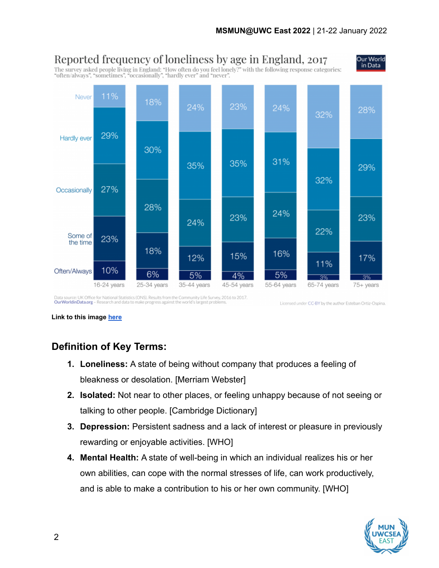

Data source: UK Office for National Statistics (ONS). Results from the Community Life Survey, 2016 to 2017.<br>OurWorldinData.org - Research and data to make progress against the world's largest problems. Licensed under CC-BY by the author Esteban Ortiz-Ospina.

**Link to this image [here](https://ourworldindata.org/loneliness-epidemic)**

# **Definition of Key Terms:**

- **1. Loneliness:** A state of being without company that produces a feeling of bleakness or desolation. [Merriam Webster]
- **2. Isolated:** Not near to other places, or feeling unhappy because of not seeing or talking to other people. [Cambridge Dictionary]
- **3. Depression:** Persistent sadness and a lack of interest or pleasure in previously rewarding or enjoyable activities. [WHO]
- **4. Mental Health:** A state of well-being in which an individual realizes his or her own abilities, can cope with the normal stresses of life, can work productively, and is able to make a contribution to his or her own community. [WHO]

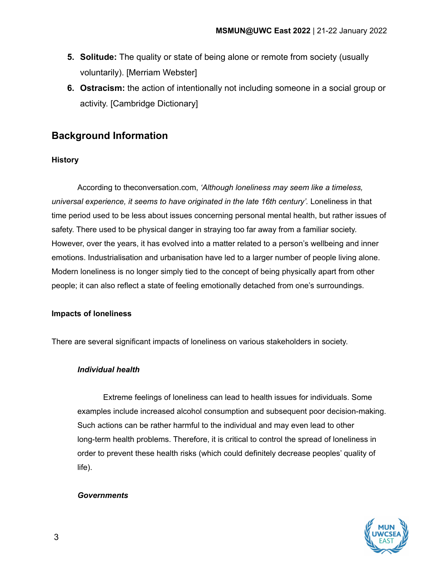- **5. Solitude:** The quality or state of being alone or remote from society (usually voluntarily). [Merriam Webster]
- **6. Ostracism:** the action of intentionally not including someone in a social group or activity. [Cambridge Dictionary]

# **Background Information**

## **History**

According to theconversation.com, *'Although loneliness may seem like a timeless, universal experience, it seems to have originated in the late 16th century'.* Loneliness in that time period used to be less about issues concerning personal mental health, but rather issues of safety. There used to be physical danger in straying too far away from a familiar society. However, over the years, it has evolved into a matter related to a person's wellbeing and inner emotions. Industrialisation and urbanisation have led to a larger number of people living alone. Modern loneliness is no longer simply tied to the concept of being physically apart from other people; it can also reflect a state of feeling emotionally detached from one's surroundings.

## **Impacts of loneliness**

There are several significant impacts of loneliness on various stakeholders in society.

## *Individual health*

Extreme feelings of loneliness can lead to health issues for individuals. Some examples include increased alcohol consumption and subsequent poor decision-making. Such actions can be rather harmful to the individual and may even lead to other long-term health problems. Therefore, it is critical to control the spread of loneliness in order to prevent these health risks (which could definitely decrease peoples' quality of life).

## *Governments*

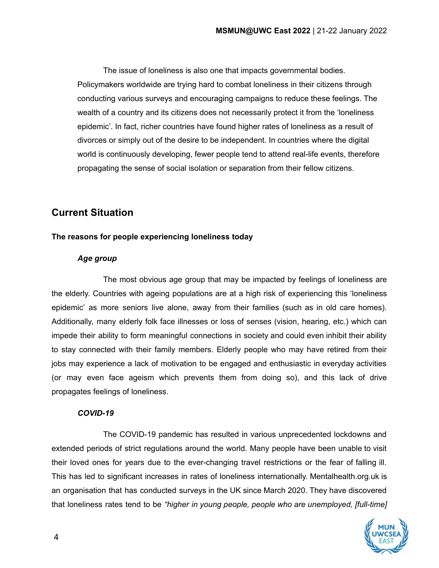The issue of loneliness is also one that impacts governmental bodies. Policymakers worldwide are trying hard to combat loneliness in their citizens through conducting various surveys and encouraging campaigns to reduce these feelings. The wealth of a country and its citizens does not necessarily protect it from the 'loneliness epidemic'. In fact, richer countries have found higher rates of loneliness as a result of divorces or simply out of the desire to be independent. In countries where the digital world is continuously developing, fewer people tend to attend real-life events, therefore propagating the sense of social isolation or separation from their fellow citizens.

# **Current Situation**

## **The reasons for people experiencing loneliness today**

### *Age group*

The most obvious age group that may be impacted by feelings of loneliness are the elderly. Countries with ageing populations are at a high risk of experiencing this 'loneliness epidemic' as more seniors live alone, away from their families (such as in old care homes). Additionally, many elderly folk face illnesses or loss of senses (vision, hearing, etc.) which can impede their ability to form meaningful connections in society and could even inhibit their ability to stay connected with their family members. Elderly people who may have retired from their jobs may experience a lack of motivation to be engaged and enthusiastic in everyday activities (or may even face ageism which prevents them from doing so), and this lack of drive propagates feelings of loneliness.

### *COVID-19*

The COVID-19 pandemic has resulted in various unprecedented lockdowns and extended periods of strict regulations around the world. Many people have been unable to visit their loved ones for years due to the ever-changing travel restrictions or the fear of falling ill. This has led to significant increases in rates of loneliness internationally. Mentalhealth.org.uk is an organisation that has conducted surveys in the UK since March 2020. They have discovered that loneliness rates tend to be *"higher in young people, people who are unemployed, [full-time]*

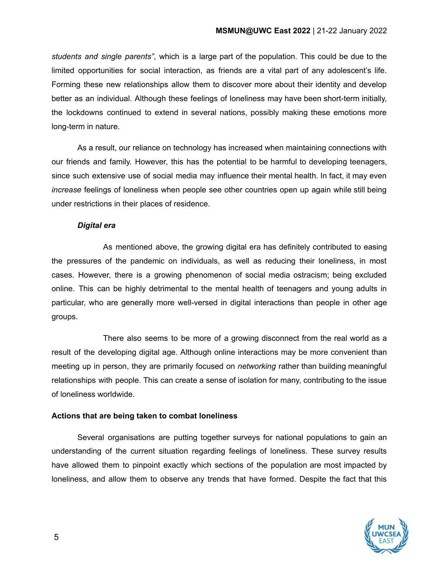*students and single parents"*, which is a large part of the population. This could be due to the limited opportunities for social interaction, as friends are a vital part of any adolescent's life. Forming these new relationships allow them to discover more about their identity and develop better as an individual. Although these feelings of loneliness may have been short-term initially, the lockdowns continued to extend in several nations, possibly making these emotions more long-term in nature.

As a result, our reliance on technology has increased when maintaining connections with our friends and family. However, this has the potential to be harmful to developing teenagers, since such extensive use of social media may influence their mental health. In fact, it may even *increase* feelings of loneliness when people see other countries open up again while still being under restrictions in their places of residence.

### *Digital era*

As mentioned above, the growing digital era has definitely contributed to easing the pressures of the pandemic on individuals, as well as reducing their loneliness, in most cases. However, there is a growing phenomenon of social media ostracism; being excluded online. This can be highly detrimental to the mental health of teenagers and young adults in particular, who are generally more well-versed in digital interactions than people in other age groups.

There also seems to be more of a growing disconnect from the real world as a result of the developing digital age. Although online interactions may be more convenient than meeting up in person, they are primarily focused on *networking* rather than building meaningful relationships with people. This can create a sense of isolation for many, contributing to the issue of loneliness worldwide.

## **Actions that are being taken to combat loneliness**

Several organisations are putting together surveys for national populations to gain an understanding of the current situation regarding feelings of loneliness. These survey results have allowed them to pinpoint exactly which sections of the population are most impacted by loneliness, and allow them to observe any trends that have formed. Despite the fact that this

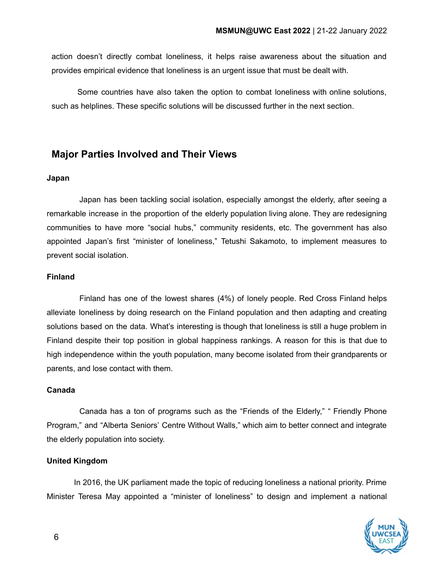action doesn't directly combat loneliness, it helps raise awareness about the situation and provides empirical evidence that loneliness is an urgent issue that must be dealt with.

Some countries have also taken the option to combat loneliness with online solutions, such as helplines. These specific solutions will be discussed further in the next section.

## **Major Parties Involved and Their Views**

#### **Japan**

Japan has been tackling social isolation, especially amongst the elderly, after seeing a remarkable increase in the proportion of the elderly population living alone. They are redesigning communities to have more "social hubs," community residents, etc. The government has also appointed Japan's first "minister of loneliness," Tetushi Sakamoto, to implement measures to prevent social isolation.

### **Finland**

Finland has one of the lowest shares (4%) of lonely people. Red Cross Finland helps alleviate loneliness by doing research on the Finland population and then adapting and creating solutions based on the data. What's interesting is though that loneliness is still a huge problem in Finland despite their top position in global happiness rankings. A reason for this is that due to high independence within the youth population, many become isolated from their grandparents or parents, and lose contact with them.

#### **Canada**

Canada has a ton of programs such as the "Friends of the Elderly," " Friendly Phone Program," and "Alberta Seniors' Centre Without Walls," which aim to better connect and integrate the elderly population into society.

### **United Kingdom**

In 2016, the UK parliament made the topic of reducing loneliness a national priority. Prime Minister Teresa May appointed a "minister of loneliness" to design and implement a national

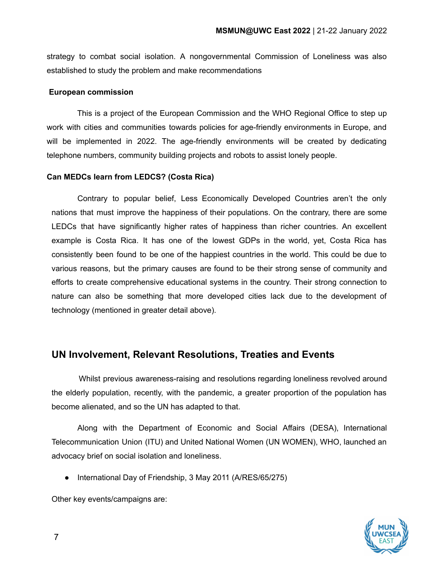strategy to combat social isolation. A nongovernmental Commission of Loneliness was also established to study the problem and make recommendations

### **European commission**

This is a project of the European Commission and the WHO Regional Office to step up work with cities and communities towards policies for age-friendly environments in Europe, and will be implemented in 2022. The age-friendly environments will be created by dedicating telephone numbers, community building projects and robots to assist lonely people.

### **Can MEDCs learn from LEDCS? (Costa Rica)**

Contrary to popular belief, Less Economically Developed Countries aren't the only nations that must improve the happiness of their populations. On the contrary, there are some LEDCs that have significantly higher rates of happiness than richer countries. An excellent example is Costa Rica. It has one of the lowest GDPs in the world, yet, Costa Rica has consistently been found to be one of the happiest countries in the world. This could be due to various reasons, but the primary causes are found to be their strong sense of community and efforts to create comprehensive educational systems in the country. Their strong connection to nature can also be something that more developed cities lack due to the development of technology (mentioned in greater detail above).

## **UN Involvement, Relevant Resolutions, Treaties and Events**

Whilst previous awareness-raising and resolutions regarding loneliness revolved around the elderly population, recently, with the pandemic, a greater proportion of the population has become alienated, and so the UN has adapted to that.

Along with the Department of Economic and Social Affairs (DESA), International Telecommunication Union (ITU) and United National Women (UN WOMEN), WHO, launched an advocacy brief on social isolation and loneliness.

● International Day of Friendship, 3 May 2011 (A/RES/65/275)

Other key events/campaigns are:

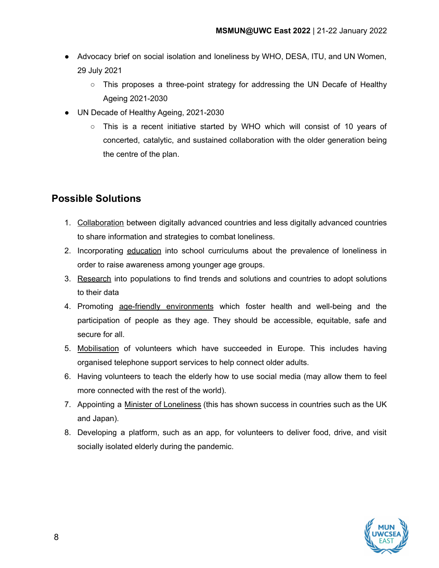- Advocacy brief on social isolation and loneliness by WHO, DESA, ITU, and UN Women, 29 July 2021
	- $\circ$  This proposes a three-point strategy for addressing the UN Decafe of Healthy Ageing 2021-2030
- UN Decade of Healthy Ageing, 2021-2030
	- This is a recent initiative started by WHO which will consist of 10 years of concerted, catalytic, and sustained collaboration with the older generation being the centre of the plan.

# **Possible Solutions**

- 1. Collaboration between digitally advanced countries and less digitally advanced countries to share information and strategies to combat loneliness.
- 2. Incorporating education into school curriculums about the prevalence of loneliness in order to raise awareness among younger age groups.
- 3. Research into populations to find trends and solutions and countries to adopt solutions to their data
- 4. Promoting age-friendly environments which foster health and well-being and the participation of people as they age. They should be accessible, equitable, safe and secure for all.
- 5. Mobilisation of volunteers which have succeeded in Europe. This includes having organised telephone support services to help connect older adults.
- 6. Having volunteers to teach the elderly how to use social media (may allow them to feel more connected with the rest of the world).
- 7. Appointing a Minister of Loneliness (this has shown success in countries such as the UK and Japan).
- 8. Developing a platform, such as an app, for volunteers to deliver food, drive, and visit socially isolated elderly during the pandemic.